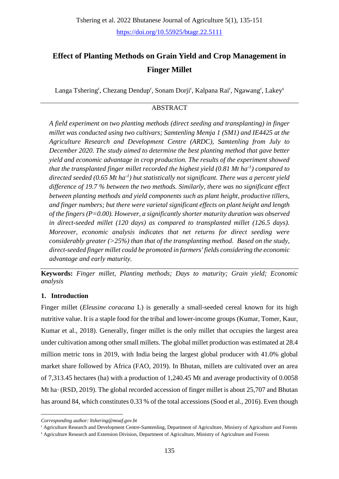# **Effect of Planting Methods on Grain Yield and Crop Management in Finger Millet**

Langa Tshering<sup>r</sup>, Chezang Dendup<sup>r</sup>, Sonam Dorji<sup>r</sup>, Kalpana Rai<sup>r</sup>, Ngawang<sup>r</sup>, Lakey<sup>s</sup>

# ABSTRACT

*A field experiment on two planting methods (direct seeding and transplanting) in finger millet was conducted using two cultivars; Samtenling Memja 1 (SM1) and IE4425 at the Agriculture Research and Development Centre (ARDC), Samtenling from July to December 2020. The study aimed to determine the best planting method that gave better yield and economic advantage in crop production. The results of the experiment showed that the transplanted finger millet recorded the highest yield (0.81 Mt ha-1 ) compared to directed seeded (0.65 Mt ha-1 ) but statistically not significant. There was a percent yield difference of 19.7 % between the two methods. Similarly, there was no significant effect between planting methods and yield components such as plant height, productive tillers, and finger numbers; but there were varietal significant effects on plant height and length of the fingers (P=0.00). However, a significantly shorter maturity duration was observed in direct-seeded millet (120 days) as compared to transplanted millet (126.5 days). Moreover, economic analysis indicates that net returns for direct seeding were considerably greater (>25%) than that of the transplanting method. Based on the study, direct-seeded finger millet could be promoted in farmers' fields considering the economic advantage and early maturity.*

**Keywords:** *Finger millet, Planting methods; Days to maturity; Grain yield; Economic analysis* 

# **1. Introduction**

<u>.</u>

Finger millet (*Eleusine coracana* L) is generally a small-seeded cereal known for its high nutritive value. It is a staple food for the tribal and lower-income groups (Kumar, Tomer, Kaur, Kumar et al., 2018). Generally, finger millet is the only millet that occupies the largest area under cultivation among other small millets. The global millet production was estimated at 28.4 million metric tons in 2019, with India being the largest global producer with 41.0% global market share followed by Africa (FAO, 2019). In Bhutan, millets are cultivated over an area of 7,313.45 hectares (ha) with a production of 1,240.45 Mt and average productivity of 0.0058 Mt ha $\cdot$  (RSD, 2019). The global recorded accession of finger millet is about 25,707 and Bhutan has around 84, which constitutes 0.33 % of the total accessions (Sood et al., 2016). Even though

*Corresponding author: ltshering@moaf.gov.bt*

<sup>r</sup> Agriculture Research and Development Centre-Samtenling, Department of Agriculture, Ministry of Agriculture and Forests

<sup>s</sup> Agriculture Research and Extension Division, Department of Agriculture, Ministry of Agriculture and Forests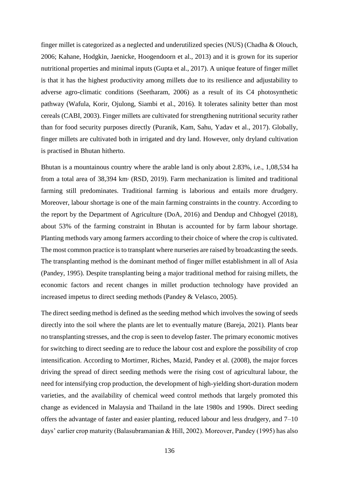finger millet is categorized as a neglected and underutilized species (NUS) (Chadha & Olouch, 2006; Kahane, Hodgkin, Jaenicke, Hoogendoorn et al., 2013) and it is grown for its superior nutritional properties and minimal inputs (Gupta et al., 2017). A unique feature of finger millet is that it has the highest productivity among millets due to its resilience and adjustability to adverse agro-climatic conditions (Seetharam, 2006) as a result of its C4 photosynthetic pathway (Wafula, Korir, Ojulong, Siambi et al., 2016). It tolerates salinity better than most cereals (CABI, 2003). Finger millets are cultivated for strengthening nutritional security rather than for food security purposes directly (Puranik, Kam, Sahu, Yadav et al., 2017). Globally, finger millets are cultivated both in irrigated and dry land. However, only dryland cultivation is practised in Bhutan hitherto.

Bhutan is a mountainous country where the arable land is only about 2.83%, i.e., 1,08,534 ha from a total area of 38,394 km<sup>2</sup> (RSD, 2019). Farm mechanization is limited and traditional farming still predominates. Traditional farming is laborious and entails more drudgery. Moreover, labour shortage is one of the main farming constraints in the country. According to the report by the Department of Agriculture (DoA, 2016) and Dendup and Chhogyel (2018), about 53% of the farming constraint in Bhutan is accounted for by farm labour shortage. Planting methods vary among farmers according to their choice of where the crop is cultivated. The most common practice is to transplant where nurseries are raised by broadcasting the seeds. The transplanting method is the dominant method of finger millet establishment in all of Asia (Pandey, 1995). Despite transplanting being a major traditional method for raising millets, the economic factors and recent changes in millet production technology have provided an increased impetus to direct seeding methods (Pandey & Velasco, 2005).

The direct seeding method is defined as the seeding method which involves the sowing of seeds directly into the soil where the plants are let to eventually mature (Bareja, 2021). Plants bear no transplanting stresses, and the crop is seen to develop faster. The primary economic motives for switching to direct seeding are to reduce the labour cost and explore the possibility of crop intensification. According to Mortimer, Riches, Mazid, Pandey et al. (2008), the major forces driving the spread of direct seeding methods were the rising cost of agricultural labour, the need for intensifying crop production, the development of high-yielding short-duration modern varieties, and the availability of chemical weed control methods that largely promoted this change as evidenced in Malaysia and Thailand in the late 1980s and 1990s. Direct seeding offers the advantage of faster and easier planting, reduced labour and less drudgery, and 7–10 days' earlier crop maturity (Balasubramanian & Hill, 2002). Moreover, Pandey (1995) has also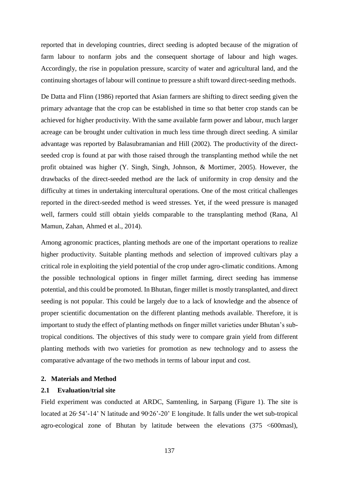reported that in developing countries, direct seeding is adopted because of the migration of farm labour to nonfarm jobs and the consequent shortage of labour and high wages. Accordingly, the rise in population pressure, scarcity of water and agricultural land, and the continuing shortages of labour will continue to pressure a shift toward direct-seeding methods.

De Datta and Flinn (1986) reported that Asian farmers are shifting to direct seeding given the primary advantage that the crop can be established in time so that better crop stands can be achieved for higher productivity. With the same available farm power and labour, much larger acreage can be brought under cultivation in much less time through direct seeding. A similar advantage was reported by Balasubramanian and Hill (2002). The productivity of the directseeded crop is found at par with those raised through the transplanting method while the net profit obtained was higher (Y. Singh, Singh, Johnson, & Mortimer, 2005). However, the drawbacks of the direct-seeded method are the lack of uniformity in crop density and the difficulty at times in undertaking intercultural operations. One of the most critical challenges reported in the direct-seeded method is weed stresses. Yet, if the weed pressure is managed well, farmers could still obtain yields comparable to the transplanting method (Rana, Al Mamun, Zahan, Ahmed et al., 2014).

Among agronomic practices, planting methods are one of the important operations to realize higher productivity. Suitable planting methods and selection of improved cultivars play a critical role in exploiting the yield potential of the crop under agro-climatic conditions. Among the possible technological options in finger millet farming, direct seeding has immense potential, and this could be promoted. In Bhutan, finger millet is mostly transplanted, and direct seeding is not popular. This could be largely due to a lack of knowledge and the absence of proper scientific documentation on the different planting methods available. Therefore, it is important to study the effect of planting methods on finger millet varieties under Bhutan's subtropical conditions. The objectives of this study were to compare grain yield from different planting methods with two varieties for promotion as new technology and to assess the comparative advantage of the two methods in terms of labour input and cost.

# **2. Materials and Method**

#### **2.1 Evaluation/trial site**

Field experiment was conducted at ARDC, Samtenling, in Sarpang (Figure 1). The site is located at  $26°54'$ -14' N latitude and  $90°26'$ -20' E longitude. It falls under the wet sub-tropical agro-ecological zone of Bhutan by latitude between the elevations (375 <600masl),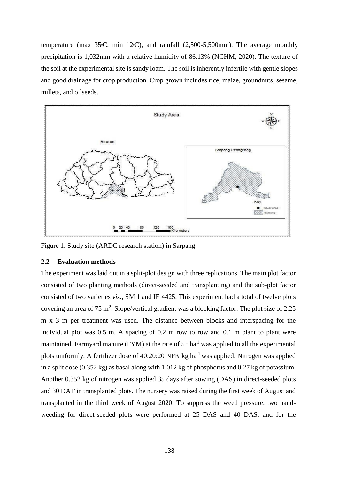temperature (max  $35\textdegree C$ , min  $12\textdegree C$ ), and rainfall (2,500-5,500mm). The average monthly precipitation is 1,032mm with a relative humidity of 86.13% (NCHM, 2020). The texture of the soil at the experimental site is sandy loam. The soil is inherently infertile with gentle slopes and good drainage for crop production. Crop grown includes rice, maize, groundnuts, sesame, millets, and oilseeds.



Figure 1. Study site (ARDC research station) in Sarpang

## **2.2 Evaluation methods**

The experiment was laid out in a split-plot design with three replications. The main plot factor consisted of two planting methods (direct-seeded and transplanting) and the sub-plot factor consisted of two varieties *viz.,* SM 1 and IE 4425. This experiment had a total of twelve plots covering an area of 75 m<sup>2</sup>. Slope/vertical gradient was a blocking factor. The plot size of 2.25 m x 3 m per treatment was used. The distance between blocks and interspacing for the individual plot was 0.5 m. A spacing of 0.2 m row to row and 0.1 m plant to plant were maintained. Farmyard manure (FYM) at the rate of 5 t ha $<sup>1</sup>$  was applied to all the experimental</sup> plots uniformly. A fertilizer dose of  $40:20:20$  NPK kg ha<sup>-1</sup> was applied. Nitrogen was applied in a split dose (0.352 kg) as basal along with 1.012 kg of phosphorus and 0.27 kg of potassium. Another 0.352 kg of nitrogen was applied 35 days after sowing (DAS) in direct-seeded plots and 30 DAT in transplanted plots. The nursery was raised during the first week of August and transplanted in the third week of August 2020. To suppress the weed pressure, two handweeding for direct-seeded plots were [performed at 25 DAS and 40 DAS, and for the](about:blank)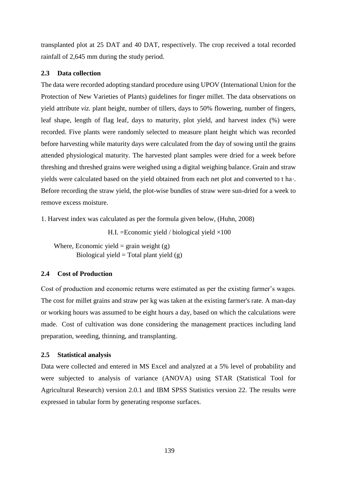[transplanted plot at 25 DAT and 40 DAT, respectively.](about:blank) The crop received a total recorded rainfall of 2,645 mm during the study period.

# **2.3 Data collection**

The data were recorded adopting standard procedure using UPOV (International Union for the Protection of New Varieties of Plants) guidelines for finger millet. The data observations on yield attribute *viz.* plant height, number of tillers, days to 50% flowering, number of fingers, leaf shape, length of flag leaf, days to maturity, plot yield, and harvest index (%) were recorded. Five plants were randomly selected to measure plant height which was recorded before harvesting while maturity days were calculated from the day of sowing until the grains attended physiological maturity. The harvested plant samples were dried for a week before threshing and threshed grains were weighed using a digital weighing balance. Grain and straw yields were calculated based on the yield obtained from each net plot and converted to t ha-1. Before recording the straw yield, the plot-wise bundles of straw were sun-dried for a week to remove excess moisture.

1. Harvest index was calculated as per the formula given below, (Huhn, 2008)

H.I. = Economic yield / biological yield  $\times$ 100

Where, Economic yield = grain weight  $(g)$ Biological yield = Total plant yield  $(g)$ 

# **2.4 Cost of Production**

Cost of production and economic returns were estimated as per the existing farmer's wages. The cost for millet grains and straw per kg was taken at the existing farmer's rate. A man-day or working hours was assumed to be eight hours a day, based on which the calculations were made. Cost of cultivation was done considering the management practices including land preparation, weeding, thinning, and transplanting.

# **2.5 Statistical analysis**

Data were collected and entered in MS Excel and analyzed at a 5% level of probability and were subjected to analysis of variance (ANOVA) using STAR (Statistical Tool for Agricultural Research) version 2.0.1 and IBM SPSS Statistics version 22. The results were expressed in tabular form by generating response surfaces.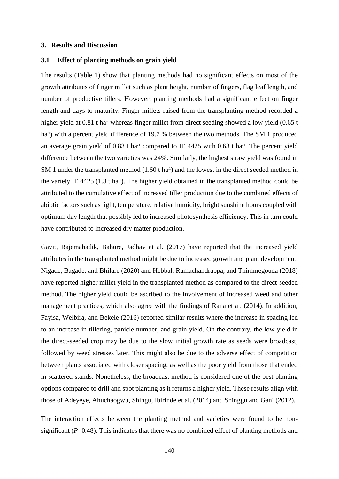#### **3. Results and Discussion**

## **3.1 Effect of planting methods on grain yield**

The results (Table 1) show that planting methods had no significant effects on most of the growth attributes of finger millet such as plant height, number of fingers, flag leaf length, and number of productive tillers. However, planting methods had a significant effect on finger length and days to maturity. Finger millets raised from the transplanting method recorded a higher yield at 0.81 t ha<sup>-1</sup> whereas finger millet from direct seeding showed a low yield (0.65 t ha<sup>1</sup>) with a percent yield difference of 19.7 % between the two methods. The SM 1 produced an average grain yield of  $0.83$  t ha<sup>-1</sup> compared to IE 4425 with  $0.63$  t ha<sup>-1</sup>. The percent yield difference between the two varieties was 24%. Similarly, the highest straw yield was found in SM 1 under the transplanted method  $(1.60 \text{ t ha}^1)$  and the lowest in the direct seeded method in the variety IE 4425 (1.3 t ha<sup>1</sup>). The higher yield obtained in the transplanted method could be attributed to the cumulative effect of increased tiller production due to the combined effects of abiotic factors such as light, temperature, relative humidity, bright sunshine hours coupled with optimum day length that possibly led to increased photosynthesis efficiency. This in turn could have contributed to increased dry matter production.

Gavit, Rajemahadik, Bahure, Jadhav et al. (2017) have reported that the increased yield attributes in the transplanted method might be due to increased growth and plant development. Nigade, Bagade, and Bhilare (2020) and Hebbal, Ramachandrappa, and Thimmegouda (2018) have reported higher millet yield in the transplanted method as compared to the direct-seeded method. The higher yield could be ascribed to the involvement of increased weed and other management practices, which also agree with the findings of Rana et al. (2014). In addition, Fayisa, Welbira, and Bekele (2016) reported similar results where the increase in spacing led to an increase in tillering, panicle number, and grain yield. On the contrary, the low yield in the direct-seeded crop may be due to the slow initial growth rate as seeds were broadcast, followed by weed stresses later. This might also be due to the adverse effect of competition between plants associated with closer spacing, as well as the poor yield from those that ended in scattered stands. Nonetheless, the broadcast method is considered one of the best planting options compared to drill and spot planting as it returns a higher yield. These results align with those of Adeyeye, Ahuchaogwu, Shingu, Ibirinde et al. (2014) and Shinggu and Gani (2012).

The interaction effects between the planting method and varieties were found to be nonsignificant (*P*=0.48). This indicates that there was no combined effect of planting methods and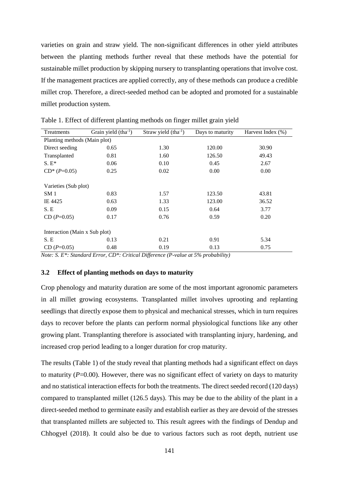varieties on grain and straw yield. The non-significant differences in other yield attributes between the planting methods further reveal that these methods have the potential for sustainable millet production by skipping nursery to transplanting operations that involve cost. If the management practices are applied correctly, any of these methods can produce a credible millet crop. Therefore, a direct-seeded method can be adopted and promoted for a sustainable millet production system.

| Treatments                    | Grain yield $(\text{tha}^{-1})$ | Straw yield $(tha^{-1})$ | Days to maturity | Harvest Index $(\%)$ |  |
|-------------------------------|---------------------------------|--------------------------|------------------|----------------------|--|
| Planting methods (Main plot)  |                                 |                          |                  |                      |  |
| Direct seeding                | 0.65                            | 1.30                     | 120.00           | 30.90                |  |
| Transplanted                  | 0.81                            | 1.60                     | 126.50           | 49.43                |  |
| $S.E^*$                       | 0.06                            | 0.10                     | 0.45             | 2.67                 |  |
| $CD^*(P=0.05)$                | 0.25                            | 0.02                     | 0.00             | 0.00                 |  |
|                               |                                 |                          |                  |                      |  |
| Varieties (Sub plot)          |                                 |                          |                  |                      |  |
| SM <sub>1</sub>               | 0.83                            | 1.57                     | 123.50           | 43.81                |  |
| IE 4425                       | 0.63                            | 1.33                     | 123.00           | 36.52                |  |
| S.E                           | 0.09                            | 0.15                     | 0.64             | 3.77                 |  |
| $CD(P=0.05)$                  | 0.17                            | 0.76                     | 0.59             | 0.20                 |  |
|                               |                                 |                          |                  |                      |  |
| Interaction (Main x Sub plot) |                                 |                          |                  |                      |  |
| S.E                           | 0.13                            | 0.21                     | 0.91             | 5.34                 |  |
| $CD(P=0.05)$                  | 0.48                            | 0.19                     | 0.13             | 0.75                 |  |

Table 1. Effect of different planting methods on finger millet grain yield

*Note: S. E\*: Standard Error, CD\*: Critical Difference (P-value at 5% probability)*

## **3.2 Effect of planting methods on days to maturity**

Crop phenology and maturity duration are some of the most important agronomic parameters in all millet growing ecosystems. Transplanted millet involves uprooting and replanting seedlings that directly expose them to physical and mechanical stresses, which in turn requires days to recover before the plants can perform normal physiological functions like any other growing plant. Transplanting therefore is associated with transplanting injury, hardening, and increased crop period leading to a longer duration for crop maturity.

The results (Table 1) of the study reveal that planting methods had a significant effect on days to maturity (*P*=0.00). However, there was no significant effect of variety on days to maturity and no statistical interaction effects for both the treatments. The direct seeded record (120 days) compared to transplanted millet (126.5 days). This may be due to the ability of the plant in a direct-seeded method to germinate easily and establish earlier as they are devoid of the stresses that transplanted millets are subjected to. This result agrees with the findings of Dendup and Chhogyel (2018). It could also be due to various factors such as root depth, nutrient use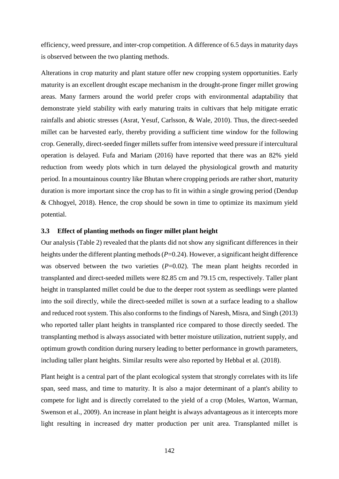efficiency, weed pressure, and inter-crop competition. A difference of 6.5 days in maturity days is observed between the two planting methods.

Alterations in crop maturity and plant stature offer new cropping system opportunities. Early maturity is an excellent drought escape mechanism in the drought-prone finger millet growing areas. Many farmers around the world prefer crops with environmental adaptability that demonstrate yield stability with early maturing traits in cultivars that help mitigate erratic rainfalls and abiotic stresses (Asrat, Yesuf, Carlsson, & Wale, 2010). Thus, the direct-seeded millet can be harvested early, thereby providing a sufficient time window for the following crop. Generally, direct-seeded finger millets suffer from intensive weed pressure if intercultural operation is delayed. Fufa and Mariam (2016) have reported that there was an 82% yield reduction from weedy plots which in turn delayed the physiological growth and maturity period. In a mountainous country like Bhutan where cropping periods are rather short, maturity duration is more important since the crop has to fit in within a single growing period (Dendup & Chhogyel, 2018). Hence, the crop should be sown in time to optimize its maximum yield potential.

## **3.3 Effect of planting methods on finger millet plant height**

Our analysis (Table 2) revealed that the plants did not show any significant differences in their heights under the different planting methods ( $P=0.24$ ). However, a significant height difference was observed between the two varieties (*P*=0.02). The mean plant heights recorded in transplanted and direct-seeded millets were 82.85 cm and 79.15 cm, respectively. Taller plant height in transplanted millet could be due to the deeper root system as seedlings were planted into the soil directly, while the direct-seeded millet is sown at a surface leading to a shallow and reduced root system. This also conforms to the findings of Naresh, Misra, and Singh (2013) who reported taller plant heights in transplanted rice compared to those directly seeded. The transplanting method is always associated with better moisture utilization, nutrient supply, and optimum growth condition during nursery leading to better performance in growth parameters, including taller plant heights. Similar results were also reported by Hebbal et al. (2018).

Plant height is a central part of the plant ecological system that strongly correlates with its life span, seed mass, and time to maturity. It is also a major determinant of a plant's ability to compete for light and is directly correlated to the yield of a crop (Moles, Warton, Warman, Swenson et al., 2009). An increase in plant height is always advantageous as it intercepts more light resulting in increased dry matter production per unit area. Transplanted millet is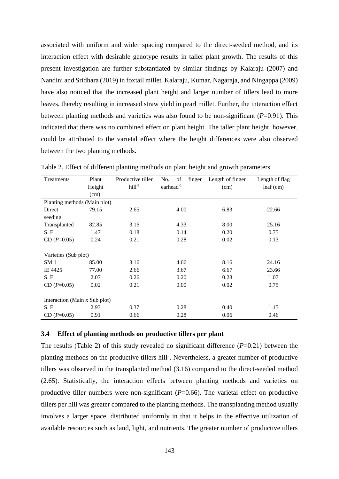associated with uniform and wider spacing compared to the direct-seeded method, and its interaction effect with desirable genotype results in taller plant growth. The results of this present investigation are further substantiated by similar findings by Kalaraju (2007) and Nandini and Sridhara (2019) in foxtail millet. Kalaraju, Kumar, Nagaraja, and Ningappa (2009) have also noticed that the increased plant height and larger number of tillers lead to more leaves, thereby resulting in increased straw yield in pearl millet. Further, the interaction effect between planting methods and varieties was also found to be non-significant  $(P=0.91)$ . This indicated that there was no combined effect on plant height. The taller plant height, however, could be attributed to the varietal effect where the height differences were also observed between the two planting methods.

| Treatments                    | Plant  | Productive tiller | of<br>No.<br>finger | Length of finger | Length of flag |
|-------------------------------|--------|-------------------|---------------------|------------------|----------------|
|                               | Height | $hill-1$          | earhead $^{-1}$     | (cm)             | $leaf$ (cm)    |
|                               | (cm)   |                   |                     |                  |                |
| Planting methods (Main plot)  |        |                   |                     |                  |                |
| Direct                        | 79.15  | 2.65              | 4.00                | 6.83             | 22.66          |
| seeding                       |        |                   |                     |                  |                |
| Transplanted                  | 82.85  | 3.16              | 4.33                | 8.00             | 25.16          |
| S. E                          | 1.47   | 0.18              | 0.14                | 0.20             | 0.75           |
| $CD(P=0.05)$                  | 0.24   | 0.21              | 0.28                | 0.02             | 0.13           |
|                               |        |                   |                     |                  |                |
| Varieties (Sub plot)          |        |                   |                     |                  |                |
| SM 1                          | 85.00  | 3.16              | 4.66                | 8.16             | 24.16          |
| IE 4425                       | 77.00  | 2.66              | 3.67                | 6.67             | 23.66          |
| S. E                          | 2.07   | 0.26              | 0.20                | 0.28             | 1.07           |
| $CD(P=0.05)$                  | 0.02   | 0.21              | 0.00                | 0.02             | 0.75           |
|                               |        |                   |                     |                  |                |
| Interaction (Main x Sub plot) |        |                   |                     |                  |                |
| S.E                           | 2.93   | 0.37              | 0.28                | 0.40             | 1.15           |
| $CD(P=0.05)$                  | 0.91   | 0.66              | 0.28                | 0.06             | 0.46           |

Table 2. Effect of different planting methods on plant height and growth parameters

## **3.4 Effect of planting methods on productive tillers per plant**

The results (Table 2) of this study revealed no significant difference (*P*=0.21) between the planting methods on the productive tillers hill<sup>1</sup>. Nevertheless, a greater number of productive tillers was observed in the transplanted method (3.16) compared to the direct-seeded method (2.65). Statistically, the interaction effects between planting methods and varieties on productive tiller numbers were non-significant (*P*=0.66). The varietal effect on productive tillers per hill was greater compared to the planting methods. The transplanting method usually involves a larger space, distributed uniformly in that it helps in the effective utilization of available resources such as land, light, and nutrients. The greater number of productive tillers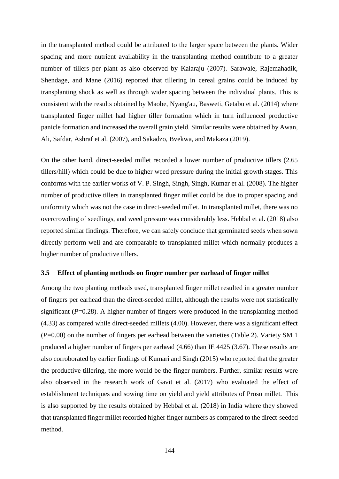in the transplanted method could be attributed to the larger space between the plants. Wider spacing and more nutrient availability in the transplanting method contribute to a greater number of tillers per plant as also observed by Kalaraju (2007). Sarawale, Rajemahadik, Shendage, and Mane (2016) reported that tillering in cereal grains could be induced by transplanting shock as well as through wider spacing between the individual plants. This is consistent with the results obtained by Maobe, Nyang'au, Basweti, Getabu et al. (2014) where transplanted finger millet had higher tiller formation which in turn influenced productive panicle formation and increased the overall grain yield. Similar results were obtained by Awan, Ali, Safdar, Ashraf et al. (2007), and Sakadzo, Bvekwa, and Makaza (2019).

On the other hand, direct-seeded millet recorded a lower number of productive tillers (2.65 tillers/hill) which could be due to higher weed pressure during the initial growth stages. This conforms with the earlier works of V. P. Singh, Singh, Singh, Kumar et al. (2008). The higher number of productive tillers in transplanted finger millet could be due to proper spacing and uniformity which was not the case in direct-seeded millet. In transplanted millet, there was no overcrowding of seedlings, and weed pressure was considerably less. Hebbal et al. (2018) also reported similar findings. Therefore, we can safely conclude that germinated seeds when sown directly perform well and are comparable to transplanted millet which normally produces a higher number of productive tillers.

#### **3.5 Effect of planting methods on finger number per earhead of finger millet**

Among the two planting methods used, transplanted finger millet resulted in a greater number of fingers per earhead than the direct-seeded millet, although the results were not statistically significant (*P*=0.28). A higher number of fingers were produced in the transplanting method (4.33) as compared while direct-seeded millets (4.00). However, there was a significant effect (*P*=0.00) on the number of fingers per earhead between the varieties (Table 2). Variety SM 1 produced a higher number of fingers per earhead (4.66) than IE 4425 (3.67). These results are also corroborated by earlier findings of Kumari and Singh (2015) who reported that the greater the productive tillering, the more would be the finger numbers. Further, similar results were also observed in the research work of Gavit et al. (2017) who evaluated the effect of establishment techniques and sowing time on yield and yield attributes of Proso millet. This is also supported by the results obtained by Hebbal et al. (2018) in India where they showed that transplanted finger millet recorded higher finger numbers as compared to the direct-seeded method.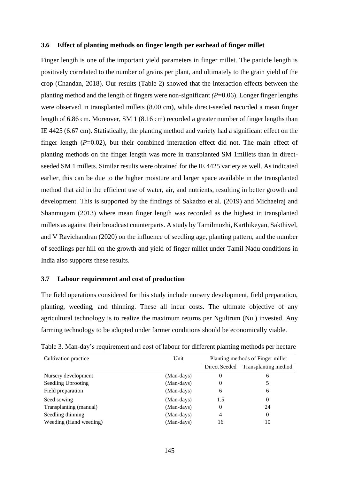#### **3.6 Effect of planting methods on finger length per earhead of finger millet**

Finger length is one of the important yield parameters in finger millet. The panicle length is positively correlated to the number of grains per plant, and ultimately to the grain yield of the crop (Chandan, 2018). Our results (Table 2) showed that the interaction effects between the planting method and the length of fingers were non-significant *(P*=0.06). Longer finger lengths were observed in transplanted millets (8.00 cm), while direct-seeded recorded a mean finger length of 6.86 cm. Moreover, SM 1 (8.16 cm) recorded a greater number of finger lengths than IE 4425 (6.67 cm). Statistically, the planting method and variety had a significant effect on the finger length  $(P=0.02)$ , but their combined interaction effect did not. The main effect of planting methods on the finger length was more in transplanted SM 1millets than in directseeded SM 1 millets. Similar results were obtained for the IE 4425 variety as well. As indicated earlier, this can be due to the higher moisture and larger space available in the transplanted method that aid in the efficient use of water, air, and nutrients, resulting in better growth and development. This is supported by the findings of Sakadzo et al. (2019) and Michaelraj and Shanmugam (2013) where mean finger length was recorded as the highest in transplanted millets as against their broadcast counterparts. A study by Tamilmozhi, Karthikeyan, Sakthivel, and V Ravichandran (2020) on the influence of seedling age, planting pattern, and the number of seedlings per hill on the growth and yield of finger millet under Tamil Nadu conditions in India also supports these results.

#### **3.7 Labour requirement and cost of production**

The field operations considered for this study include nursery development, field preparation, planting, weeding, and thinning. These all incur costs. The ultimate objective of any agricultural technology is to realize the maximum returns per Ngultrum (Nu.) invested. Any farming technology to be adopted under farmer conditions should be economically viable.

| Cultivation practice   | Unit       | Planting methods of Finger millet |                      |
|------------------------|------------|-----------------------------------|----------------------|
|                        |            |                                   |                      |
|                        |            | Direct Seeded                     | Transplanting method |
| Nursery development    | (Man-days) | $\theta$                          | 6                    |
| Seedling Uprooting     | (Man-days) | 0                                 | 5                    |
| Field preparation      | (Man-days) | 6                                 | 6                    |
| Seed sowing            | (Man-days) | 1.5                               | 0                    |
| Transplanting (manual) | (Man-days) | 0                                 | 24                   |
| Seedling thinning      | (Man-days) | 4                                 | $\theta$             |
| Weeding (Hand weeding) | (Man-days) | 16                                | 10                   |

Table 3. Man-day's requirement and cost of labour for different planting methods per hectare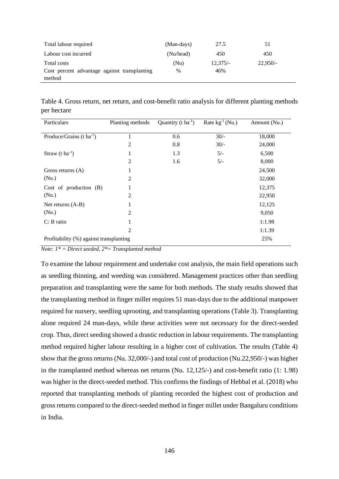| Total labour required                                  | (Man-days) | 27.5       | 51         |
|--------------------------------------------------------|------------|------------|------------|
| Labour cost incurred                                   | (Nu/head)  | 450        | 450        |
| Total costs                                            | (Nu)       | $12,375/-$ | $22.950/-$ |
| Cost percent advantage against transplanting<br>method | $\%$       | 46%        |            |
|                                                        |            |            |            |

Table 4. Gross return, net return, and cost-benefit ratio analysis for different planting methods per hectare

| Particulars                             | Planting methods | Quantity ( $t \, \text{ha}^{-1}$ ) | Rate $kg^{-1}(Nu.)$ | Amount (Nu.) |
|-----------------------------------------|------------------|------------------------------------|---------------------|--------------|
| Produce/Grains $(t \text{ ha}^{-1})$    | 1                | 0.6                                | $30/-$              | 18,000       |
|                                         | $\overline{2}$   | 0.8                                | $30/-$              | 24,000       |
| Straw $(t \, ha^{-1})$                  | $\mathbf{1}$     | 1.3                                | $5/-$               | 6,500        |
|                                         | $\overline{2}$   | 1.6                                | $5/-$               | 8,000        |
| Gross returns $(A)$                     | 1                |                                    |                     | 24,500       |
| (Nu.)                                   | $\overline{2}$   |                                    |                     | 32,000       |
| Cost of production $(B)$                | 1                |                                    |                     | 12,375       |
| (Nu.)                                   | $\overline{c}$   |                                    |                     | 22,950       |
| Net returns $(A-B)$                     | 1                |                                    |                     | 12,125       |
| (Nu.)                                   | $\overline{2}$   |                                    |                     | 9,050        |
| $C: B$ ratio                            | 1                |                                    |                     | 1:1.98       |
|                                         | $\overline{2}$   |                                    |                     | 1:1.39       |
| Profitability (%) against transplanting |                  |                                    |                     | 25%          |

*Note: 1\* = Direct seeded, 2\*= Transplanted method*

To examine the labour requirement and undertake cost analysis, the main field operations such as seedling thinning, and weeding was considered. Management practices other than seedling preparation and transplanting were the same for both methods. The study results showed that the transplanting method in finger millet requires 51 man-days due to the additional manpower required for nursery, seedling uprooting, and transplanting operations (Table 3). Transplanting alone required 24 man-days, while these activities were not necessary for the direct-seeded crop. Thus, direct seeding showed a drastic reduction in labour requirements. The transplanting method required higher labour resulting in a higher cost of cultivation. The results (Table 4) show that the gross returns (Nu. 32,000/-) and total cost of production (Nu.22,950/-) was higher in the transplanted method whereas net returns (Nu. 12,125/-) and cost-benefit ratio (1: 1.98) was higher in the direct-seeded method. This confirms the findings of Hebbal et al. (2018) who reported that transplanting methods of planting recorded the highest cost of production and gross returns compared to the direct-seeded method in finger millet under Bangaluru conditions in India.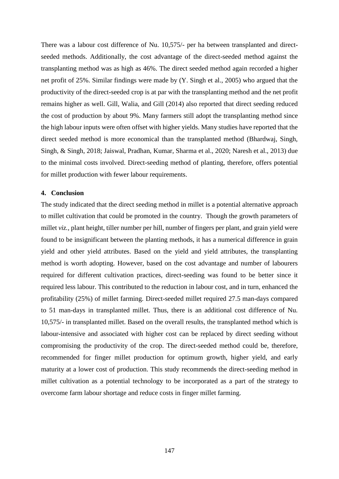There was a labour cost difference of Nu. 10,575/- per ha between transplanted and directseeded methods. Additionally, the cost advantage of the direct-seeded method against the transplanting method was as high as 46%. The direct seeded method again recorded a higher net profit of 25%. Similar findings were made by (Y. Singh et al., 2005) who argued that the productivity of the direct-seeded crop is at par with the transplanting method and the net profit remains higher as well. Gill, Walia, and Gill (2014) also reported that direct seeding reduced the cost of production by about 9%. Many farmers still adopt the transplanting method since the high labour inputs were often offset with higher yields. Many studies have reported that the direct seeded method is more economical than the transplanted method (Bhardwaj, Singh, Singh, & Singh, 2018; Jaiswal, Pradhan, Kumar, Sharma et al., 2020; Naresh et al., 2013) due to the minimal costs involved. Direct-seeding method of planting, therefore, offers potential for millet production with fewer labour requirements.

#### **4. Conclusion**

The study indicated that the direct seeding method in millet is a potential alternative approach to millet cultivation that could be promoted in the country. Though the growth parameters of millet *viz.,* plant height, tiller number per hill, number of fingers per plant, and grain yield were found to be insignificant between the planting methods, it has a numerical difference in grain yield and other yield attributes. Based on the yield and yield attributes, the transplanting method is worth adopting. However, based on the cost advantage and number of labourers required for different cultivation practices, direct-seeding was found to be better since it required less labour. This contributed to the reduction in labour cost, and in turn, enhanced the profitability (25%) of millet farming. Direct-seeded millet required 27.5 man-days compared to 51 man-days in transplanted millet. Thus, there is an additional cost difference of Nu. 10,575/- in transplanted millet. Based on the overall results, the transplanted method which is labour-intensive and associated with higher cost can be replaced by direct seeding without compromising the productivity of the crop. The direct-seeded method could be, therefore, recommended for finger millet production for optimum growth, higher yield, and early maturity at a lower cost of production. This study recommends the direct-seeding method in millet cultivation as a potential technology to be incorporated as a part of the strategy to overcome farm labour shortage and reduce costs in finger millet farming.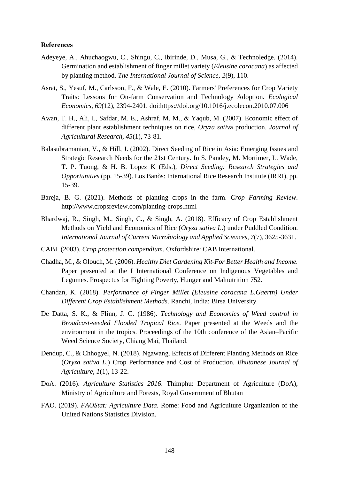## **References**

- Adeyeye, A., Ahuchaogwu, C., Shingu, C., Ibirinde, D., Musa, G., & Technoledge. (2014). Germination and establishment of finger millet variety (*Eleusine coracana*) as affected by planting method. *The International Journal of Science, 2*(9), 110.
- Asrat, S., Yesuf, M., Carlsson, F., & Wale, E. (2010). Farmers' Preferences for Crop Variety Traits: Lessons for On-farm Conservation and Technology Adoption. *Ecological Economics, 69*(12), 2394-2401. doi:https://doi.org/10.1016/j.ecolecon.2010.07.006
- Awan, T. H., Ali, I., Safdar, M. E., Ashraf, M. M., & Yaqub, M. (2007). Economic effect of different plant establishment techniques on rice, *Oryza sativ*a production. *Journal of Agricultural Research, 45*(1), 73-81.
- Balasubramanian, V., & Hill, J. (2002). Direct Seeding of Rice in Asia: Emerging Issues and Strategic Research Needs for the 21st Century. In S. Pandey, M. Mortimer, L. Wade, T. P. Tuong, & H. B. Lopez K (Eds.), *Direct Seeding: Research Strategies and Opportunities* (pp. 15-39). Los Banõs: International Rice Research Institute (IRRI), pp. 15-39.
- Bareja, B. G. (2021). Methods of planting crops in the farm. *Crop Farming Review*. http://www.cropsreview.com/planting-crops.html
- Bhardwaj, R., Singh, M., Singh, C., & Singh, A. (2018). Efficacy of Crop Establishment Methods on Yield and Economics of Rice (*Oryza sativa L*.) under Puddled Condition. *International Journal of Current Microbiology and Applied Sciences, 7*(7), 3625-3631.
- CABI. (2003). *Crop protection compendium*. Oxfordshire: CAB International.
- Chadha, M., & Olouch, M. (2006). *Healthy Diet Gardening Kit-For Better Health and Income.* Paper presented at the I International Conference on Indigenous Vegetables and Legumes. Prospectus for Fighting Poverty, Hunger and Malnutrition 752.
- Chandan, K. (2018). *Performance of Finger Millet (Eleusine coracana L.Gaertn) Under Different Crop Establishment Methods*. Ranchi, India: Birsa University.
- De Datta, S. K., & Flinn, J. C. (1986). *Technology and Economics of Weed control in Broadcast-seeded Flooded Tropical Rice.* Paper presented at the Weeds and the environment in the tropics. Proceedings of the 10th conference of the Asian–Pacific Weed Science Society, Chiang Mai, Thailand.
- Dendup, C., & Chhogyel, N. (2018). Ngawang. Effects of Different Planting Methods on Rice (*Oryza sativa L*.) Crop Performance and Cost of Production. *Bhutanese Journal of Agriculture, 1*(1), 13-22.
- DoA. (2016). *Agriculture Statistics 2016*. Thimphu: Department of Agriculture (DoA), Ministry of Agriculture and Forests, Royal Government of Bhutan
- FAO. (2019). *FAOStat: Agriculture Data*. Rome: Food and Agriculture Organization of the United Nations Statistics Division.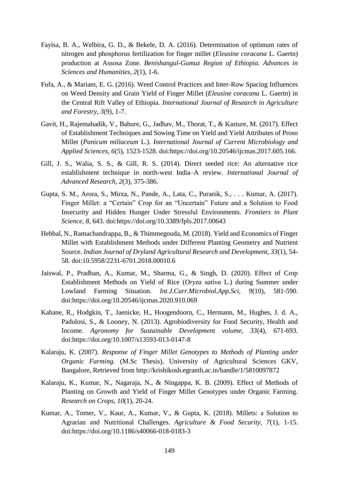- Fayisa, B. A., Welbira, G. D., & Bekele, D. A. (2016). Determination of optimum rates of nitrogen and phosphorus fertilization for finger millet (*Eleusine coracana* L. Gaertn) production at Assosa Zone. *Benishangul-Gumuz Region of Ethiopia. Advances in Sciences and Humanities, 2*(1), 1-6.
- Fufa, A., & Mariam, E. G. (2016). Weed Control Practices and Inter-Row Spacing Influences on Weed Density and Grain Yield of Finger Millet (*Eleusine coracana* L. Gaertn) in the Central Rift Valley of Ethiopia. *International Journal of Research in Agriculture and Forestry, 3*(9), 1-7.
- Gavit, H., Rajemahadik, V., Bahure, G., Jadhav, M., Thorat, T., & Kasture, M. (2017). Effect of Establishment Techniques and Sowing Time on Yield and Yield Attributes of Proso Millet (*Panicum miliaceum* L.). *International Journal of Current Microbiology and Applied Sciences, 6*(5), 1523-1528. doi:https://doi.org/10.20546/ijcmas.2017.605.166.
- Gill, J. S., Walia, S. S., & Gill, R. S. (2014). Direct seeded rice: An alternative rice establishment technique in north-west India–A review. *International Journal of Advanced Research, 2*(3), 375-386.
- Gupta, S. M., Arora, S., Mirza, N., Pande, A., Lata, C., Puranik, S., . . . Kumar, A. (2017). Finger Millet: a "Certain" Crop for an "Uncertain" Future and a Solution to Food Insecurity and Hidden Hunger Under Stressful Environments. *Frontiers in Plant Science, 8*, 643. doi:https://doi.org/10.3389/fpls.2017.00643
- Hebbal, N., Ramachandrappa, B., & Thimmegouda, M. (2018). Yield and Economics of Finger Millet with Establishment Methods under Different Planting Geometry and Nutrient Source. *Indian Journal of Dryland Agricultural Research and Development, 33*(1), 54- 58. doi:10.5958/2231-6701.2018.00010.6
- Jaiswal, P., Pradhan, A., Kumar, M., Sharma, G., & Singh, D. (2020). Effect of Crop Establishment Methods on Yield of Rice (*Oryza sativa* L.) during Summer under Lowland Farming Situation. *Int.J.Curr.Microbiol.App.Sci, 9*(10), 581-590. doi:https://doi.org/10.20546/ijcmas.2020.910.069
- Kahane, R., Hodgkin, T., Jaenicke, H., Hoogendoorn, C., Hermann, M., Hughes, J. d. A., Padulosi, S., & Looney, N. (2013). Agrobiodiversity for Food Security, Health and Income. *Agronomy for Sustainable Development volume, 33*(4), 671-693. doi:https://doi.org/10.1007/s13593-013-0147-8
- Kalaraju, K. (2007). *Response of Finger Millet Genotypes to Methods of Planting under Organic Farming.* (M.Sc Thesis), University of Agricultural Sciences GKV, Bangalore, Retrieved from http://krishikosh.egranth.ac.in/handle/1/5810097872
- Kalaraju, K., Kumar, N., Nagaraja, N., & Ningappa, K. B. (2009). Effect of Methods of Planting on Growth and Yield of Finger Millet Genotypes under Organic Farming. *Research on Crops, 10*(1), 20-24.
- Kumar, A., Tomer, V., Kaur, A., Kumar, V., & Gupta, K. (2018). Millets: a Solution to Agrarian and Nutritional Challenges. *Agriculture & Food Security, 7*(1), 1-15. doi:https://doi.org/10.1186/s40066-018-0183-3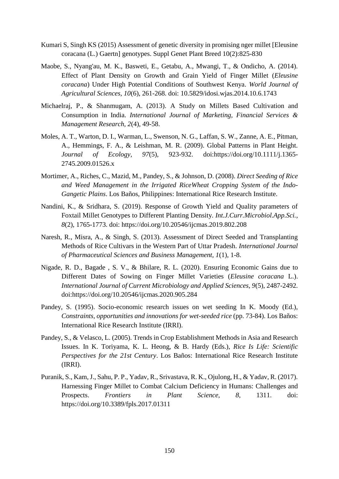- Kumari S, Singh KS (2015) Assessment of genetic diversity in promising nger millet [Eleusine coracana (L.) Gaertn] genotypes. Suppl Genet Plant Breed 10(2):825-830
- Maobe, S., Nyang'au, M. K., Basweti, E., Getabu, A., Mwangi, T., & Ondicho, A. (2014). Effect of Plant Density on Growth and Grain Yield of Finger Millet (*Eleusine coracana*) Under High Potential Conditions of Southwest Kenya. *World Journal of Agricultural Sciences, 10*(6), 261-268. doi: 10.5829/idosi.wjas.2014.10.6.1743
- Michaelraj, P., & Shanmugam, A. (2013). A Study on Millets Based Cultivation and Consumption in India. *International Journal of Marketing, Financial Services & Management Research, 2*(4), 49-58.
- Moles, A. T., Warton, D. I., Warman, L., Swenson, N. G., Laffan, S. W., Zanne, A. E., Pitman, A., Hemmings, F. A., & Leishman, M. R. (2009). Global Patterns in Plant Height. *Journal of Ecology, 97*(5), 923-932. doi:https://doi.org/10.1111/j.1365- 2745.2009.01526.x
- Mortimer, A., Riches, C., Mazid, M., Pandey, S., & Johnson, D. (2008). *Direct Seeding of Rice and Weed Management in the Irrigated RiceWheat Cropping System of the Indo-Gangetic Plains*. Los Baños, Philippines: International Rice Research Institute.
- Nandini, K., & Sridhara, S. (2019). Response of Growth Yield and Quality parameters of Foxtail Millet Genotypes to Different Planting Density. *Int.J.Curr.Microbiol.App.Sci., 8*(2), 1765-1773. doi: https://doi.org/10.20546/ijcmas.2019.802.208
- Naresh, R., Misra, A., & Singh, S. (2013). Assessment of Direct Seeded and Transplanting Methods of Rice Cultivars in the Western Part of Uttar Pradesh. *International Journal of Pharmaceutical Sciences and Business Management, 1*(1), 1-8.
- Nigade, R. D., Bagade , S. V., & Bhilare, R. L. (2020). Ensuring Economic Gains due to Different Dates of Sowing on Finger Millet Varieties (*Eleusine coracana* L.). *International Journal of Current Microbiology and Applied Sciences, 9*(5), 2487-2492. doi:https://doi.org/10.20546/ijcmas.2020.905.284
- Pandey, S. (1995). Socio-economic research issues on wet seeding In K. Moody (Ed.), *Constraints, opportunities and innovations for wet-seeded rice* (pp. 73-84). Los Baños: International Rice Research Institute (IRRI).
- Pandey, S., & Velasco, L. (2005). Trends in Crop Establishment Methods in Asia and Research Issues. In K. Toriyama, K. L. Heong, & B. Hardy (Eds.), *Rice Is Life: Scientific Perspectives for the 21st Century*. Los Baños: International Rice Research Institute (IRRI).
- Puranik, S., Kam, J., Sahu, P. P., Yadav, R., Srivastava, R. K., Ojulong, H., & Yadav, R. (2017). Harnessing Finger Millet to Combat Calcium Deficiency in Humans: Challenges and Prospects. *Frontiers in Plant Science, 8*, 1311. doi: https://doi.org/10.3389/fpls.2017.01311